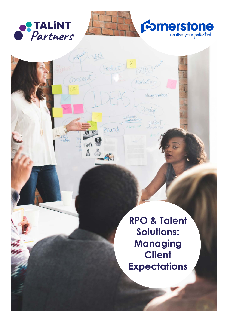

Impact SEO.

ind 8

Corcept)

sacial

(Product)?

customers<br>communication

Brands



**RPO & Talent Solutions: Managing Client Expectations**

Strong styckery'

phent

Pesign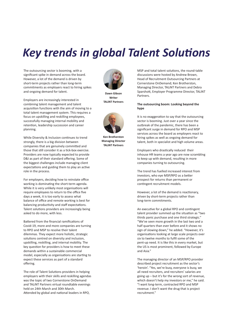# *Key trends in global Talent Solutions*

The outsourcing sector is booming, with a significant spike in demand across the board. However, a lot of the demand is driven by short-term projects rather than long-term commitments as employers react to hiring spikes and ongoing demand for talent.

Employers are increasingly interested in combining talent management and talent acquisition functions with the aim of moving to a total talent management system. This requires a focus on upskilling and reskilling employees, successfully managing internal mobility and retention, leadership succession and career planning.

While Diversity & Inclusion continues to trend strongly, there is a big division between companies that are genuinely committed and those that still consider it as a tick-box exercise. Providers are now typically expected to provide D&I as part of their standard offering. Some of the biggest challenges include managing client expectations and guiding them to play an active role in the process.

For employers, deciding how to reinstate office working is dominating the short-term agenda. While it is very unlikely most organisations will require employees to return to the office five days a week, it is too early to assess what balance of office and remote working is best for balancing productivity and staff expectations. Talent solutions providers are increasingly being asked to do more, with less.

Battered from the financial ramifications of Covid-19, more and more companies are turning to RPO and MSP to resolve their talent dilemmas. They expect more holistic, strategic solutions centred on diversity and inclusion, upskilling, reskilling, and internal mobility. The key question for providers is how to meet these demands within a sustainable commercial model, especially as organisations are starting to expect these services as part of a standard offering.

The role of Talent Solutions providers in helping employers with their skills and reskilling agendas was the topic of two Cornerstone OnDemand and TALiNT Partners virtual roundtable evenings held on 24th March and 30th March. Attended by global and national leaders in RPO,



**Dawn Gibson Writer TALiNT Partners**



**Ken Brotherston Managing Director TALiNT Partners**

MSP and total talent solutions, the round-table discussions were hosted by Andrew Brown, Head of Recruitment Outsourcing Partners at Cornerstone OnDemand; Ken Brotherston, Managing Director, TALiNT Partners and Debra Sparshott, Employer Programme Director, TALiNT **Partners** 

### **The outsourcing boom: Looking beyond the hype**

It is no exaggeration to say that the outsourcing sector is booming. Just over a year since the outbreak of the pandemic, there has been a significant surge in demand for RPO and MSP services across the board as employers react to hiring spikes as well as ongoing demand for talent, both in specialist and high volume areas.

Employers who drastically reduced their inhouse HR teams a year ago are now scrambling to keep up with demand, resulting in more companies turning to outsourcing.

The trend has fuelled increased interest from investors, who eye MSP/RPO as a better prospect for returns than permanent or contingent recruitment models.

However, a lot of the demand is reactionary, driven by short-term projects rather than long-term commitments.

An executive for a global RPO and contingent talent provider summed up the situation as "two thirds panic purchase and one third strategic." "We've seen more growth in the last two and a half quarters than ever before and it shows no sign of slowing down," he added. "However, it's organisations looking at large scale projects over six to twelve months to fulfil some of the pent-up need. It is like this in every market, but the US is most prominent, followed by Europe and Asia."

The managing director of an MSP/RPO provider described project recruitment as the sector's 'heroin'. "Yes, we're busy, everyone is busy, we all need recruiters, and recruiters' salaries are going up – but it's for the wrong sort of revenue, which doesn't help my investors or me," he said. "I want long-term, contracted RPO and MSP revenue. I don't want the drug that is project recruitment."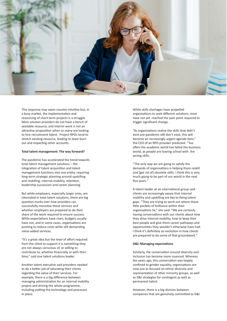

This response may seem counter-intuitive but, in a busy market, the implementation and resourcing of short-term projects is a struggle. Most solution providers do not have a bench of available resource, and interim work is not an attractive proposition when so many are looking to hire recruitment talent. Project RPOs tend to stretch existing resource, leading to team burn out and impacting other accounts.

#### **Total talent management: The way forward?**

The pandemic has accelerated the trend towards total talent management solutions – the integration of talent acquisition and talent management functions into one entity, requiring long-term strategic planning around upskilling and reskilling, internal mobility, retention, leadership succession and career planning.

But while employers, especially larger ones, are interested in total talent solutions, there are big question marks over how providers can successfully monetise these services and whether employers are prepared to do their share of the work required to ensure success. While expectations have risen, budgets usually have not, and in some cases, organisations are pushing to reduce costs while still demanding value-added services.

"It's a great idea but the level of effort required from the client to support it is something they are not always conscious of, or willing to contribute to, whether financially or with their time," said one talent solutions leader.

Another talent executive said providers needed to do a better job of educating their clients regarding the value of their services. For example, there is a big difference between managing administration for an internal mobility project and driving the whole programme, including putting the technology and processes in place.

While skills shortages have propelled organisations to seek different solutions, most have not yet reached the pain point required to trigger significant change.

"As organisations realise the skills that didn't exist pre-pandemic still don't exist, this will become an increasingly urgent agenda item," the CEO of an RPO provider predicted. "Too often the academic world has failed the business world, as people are leaving school with the wrong skills.

"The only way we are going to satisfy the demands of organisations is helping them reskill and [get rid of] obsolete skills. I think this is very much going to be part of our world in the next five years."

A talent leader at an international group said clients are increasingly aware that internal mobility and upskilling are key to fixing talent gaps. "They are trying to work out where those little pockets of brilliance within their organisations lie," she said. "We are certainly having conversations with our clients about how they drive internal mobility, how to keep their best people and give them career pathways and opportunities they wouldn't otherwise have had. I think it's definitely an evolution in how clients are prepared to do some of that groundwork."

#### **D&I: Managing expectations**

Similarly, the conversation around diversity and inclusion has become more nuanced. Whereas ten years ago, this conversation was largely confined to gender equality, organisations are now just as focused on ethnic diversity and representation of other minority groups, as well as D&I strategies for contingent as well as permanent talent.

However, there is a big division between companies that are genuinely committed to D&I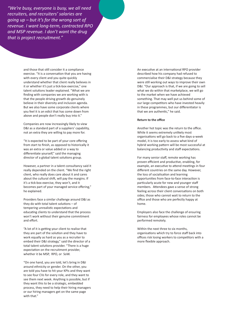*"We're busy, everyone is busy, we all need recruiters, and recruiters' salaries are going up – but it's for the wrong sort of revenue. I want long-term, contracted RPO and MSP revenue. I don't want the drug that is project recruitment."*

> and those that still consider it a compliance exercise. "It is a conversation that you are having with every client and you quite quickly understand whether that client really believes in it or whether it's just a tick-box exercise," one talent solutions leader explained. "What we are finding with companies we are working with is that the people driving growth do genuinely believe in their diversity and inclusion agenda. But we also have some corporate clients where you feel it is an edict that has come down from above and people don't really buy into it."

Companies are now increasingly likely to view D&I as a standard part of a suppliers' capability, not an extra they are willing to pay more for.

"It is expected to be part of your core offering from start to finish, as opposed to historically it was an extra or value added or a way to differentiate yourself," said the managing director of a global talent solutions group.

However, a partner in a talent consultancy said it really depended on the client. "We find the right client, who really does care about it and cares about the cultural shift, will pay the margins. If it's a tick-box exercise, they won't, and it becomes part of your managed service offering," he explained.

Providers face a similar challenge around D&I as they do with total talent solutions – of tempering unrealistic expectations and educating clients to understand that the process won't work without their genuine commitment and effort.

"A lot of it is getting your client to realise that they are part of the solution and they have to work equally as hard as you as a recruiter to embed their D&I strategy," said the director of a total talent solutions provider. "There is a huge expectation on the recruitment provider, whether it be MSP, RPO, or SoW.

"On one hand, you are told, let's bring in D&I around ethnicity or gender. On the other, you are told you have to hit your KPIs and they want to see four CVs for every role, and they want to see them next week. Anything is possible, but if they want this to be a strategic, embedded process, they need to help their hiring managers or our hiring managers get on the same page with that."

An executive at an international RPO provider described how his company had refused to commercialise their D&I strategy because they were still working out ways to improve their own D&I. "Our approach is that, if we are going to sell what we do within that marketplace, we will go to the market when we have achieved something. That may well put us behind some of our large competitors who have invested heavily in these programmes, but our differentiator is that we are authentic," he said.

#### **Return to the office**

Another hot topic was the return to the office. While it seems extremely unlikely most organisations will go back to a five days-a-week model, it is too early to assess what kind of hybrid working pattern will be most successful at balancing productivity and staff expectations.

For many senior staff, remote working has proven efficient and productive, enabling, for example, an executive to attend meetings in four different countries on the same day. However, the loss of socialisation and learning opportunities from face-to-face interaction is particularly acute for new and younger staff members. Attendees gave a sense of strong feeling across their client conversations on both sides; those who cannot wait to return to the office and those who are perfectly happy at home.

Employers also face the challenge of ensuring fairness for employees whose roles cannot be performed remotely.

Within the next three to six months, organisations which try to force staff back into offices risk losing workers to competitors with a more flexible approach.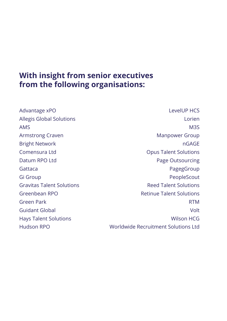## **With insight from senior executives from the following organisations:**

Advantage xPO Allegis Global Solutions AMS Armstrong Craven Bright Network Comensura Ltd Datum RPO Ltd Gattaca Gi Group Gravitas Talent Solutions Greenbean RPO Green Park Guidant Global Hays Talent Solutions Hudson RPO

LevelUP HCS Lorien M3S Manpower Group nGAGE Opus Talent Solutions Page Outsourcing PagegGroup PeopleScout Reed Talent Solutions Retinue Talent Solutions RTM Volt Wilson HCG Worldwide Recruitment Solutions Ltd